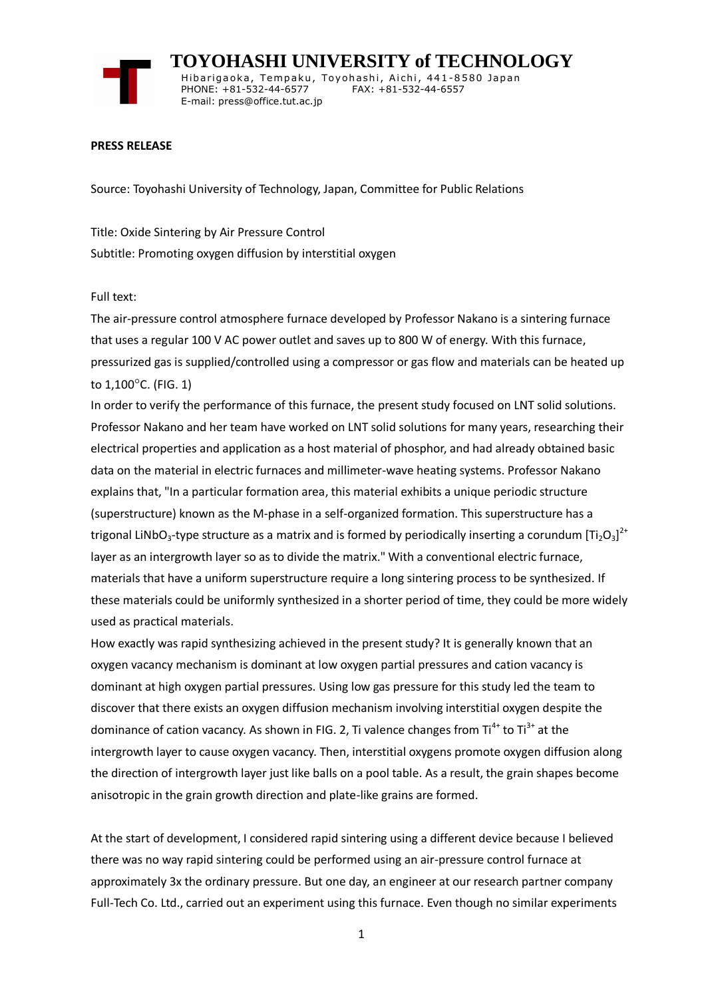

 **TOYOHASHI UNIVERSITY of TECHNOLOGY** Hibarigaoka, Tempaku, Toyohashi, Aichi, 441-8580 Japan PHONE: +81-532-44-6577 FAX: +81-532-44-6557 E-mail: press@office.tut.ac.jp

## **PRESS RELEASE**

Source: Toyohashi University of Technology, Japan, Committee for Public Relations

Title: Oxide Sintering by Air Pressure Control Subtitle: Promoting oxygen diffusion by interstitial oxygen

## Full text:

The air-pressure control atmosphere furnace developed by Professor Nakano is a sintering furnace that uses a regular 100 V AC power outlet and saves up to 800 W of energy. With this furnace, pressurized gas is supplied/controlled using a compressor or gas flow and materials can be heated up to  $1,100^{\circ}$ C. (FIG. 1)

In order to verify the performance of this furnace, the present study focused on LNT solid solutions. Professor Nakano and her team have worked on LNT solid solutions for many years, researching their electrical properties and application as a host material of phosphor, and had already obtained basic data on the material in electric furnaces and millimeter-wave heating systems. Professor Nakano explains that, "In a particular formation area, this material exhibits a unique periodic structure (superstructure) known as the M-phase in a self-organized formation. This superstructure has a trigonal LiNbO<sub>3</sub>-type structure as a matrix and is formed by periodically inserting a corundum  ${[\rm{Ti}_2O_3]}^{2+}$ layer as an intergrowth layer so as to divide the matrix." With a conventional electric furnace, materials that have a uniform superstructure require a long sintering process to be synthesized. If these materials could be uniformly synthesized in a shorter period of time, they could be more widely used as practical materials.

How exactly was rapid synthesizing achieved in the present study? It is generally known that an oxygen vacancy mechanism is dominant at low oxygen partial pressures and cation vacancy is dominant at high oxygen partial pressures. Using low gas pressure for this study led the team to discover that there exists an oxygen diffusion mechanism involving interstitial oxygen despite the dominance of cation vacancy. As shown in FIG. 2, Ti valence changes from  $Ti^{4+}$  to  $Ti^{3+}$  at the intergrowth layer to cause oxygen vacancy. Then, interstitial oxygens promote oxygen diffusion along the direction of intergrowth layer just like balls on a pool table. As a result, the grain shapes become anisotropic in the grain growth direction and plate-like grains are formed.

At the start of development, I considered rapid sintering using a different device because I believed there was no way rapid sintering could be performed using an air-pressure control furnace at approximately 3x the ordinary pressure. But one day, an engineer at our research partner company Full-Tech Co. Ltd., carried out an experiment using this furnace. Even though no similar experiments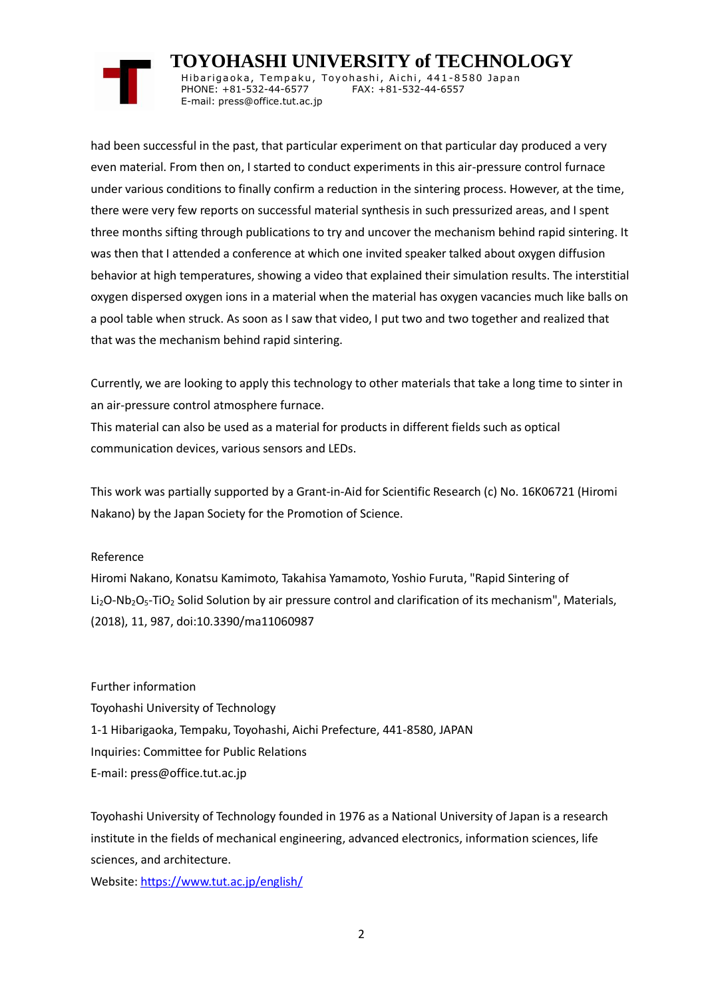## **TOYOHASHI UNIVERSITY of TECHNOLOGY**

Hibarigaoka, Tempaku, Toyohashi, Aichi, 441-8580 Japan PHONE: +81-532-44-6577 FAX: +81-532-44-6557 E-mail: press@office.tut.ac.jp

had been successful in the past, that particular experiment on that particular day produced a very even material. From then on, I started to conduct experiments in this air-pressure control furnace under various conditions to finally confirm a reduction in the sintering process. However, at the time, there were very few reports on successful material synthesis in such pressurized areas, and I spent three months sifting through publications to try and uncover the mechanism behind rapid sintering. It was then that I attended a conference at which one invited speaker talked about oxygen diffusion behavior at high temperatures, showing a video that explained their simulation results. The interstitial oxygen dispersed oxygen ions in a material when the material has oxygen vacancies much like balls on a pool table when struck. As soon as I saw that video, I put two and two together and realized that that was the mechanism behind rapid sintering.

Currently, we are looking to apply this technology to other materials that take a long time to sinter in an air-pressure control atmosphere furnace.

This material can also be used as a material for products in different fields such as optical communication devices, various sensors and LEDs.

This work was partially supported by a Grant-in-Aid for Scientific Research (c) No. 16K06721 (Hiromi Nakano) by the Japan Society for the Promotion of Science.

Reference

Hiromi Nakano, Konatsu Kamimoto, Takahisa Yamamoto, Yoshio Furuta, "Rapid Sintering of Li<sub>2</sub>O-Nb<sub>2</sub>O<sub>5</sub>-TiO<sub>2</sub> Solid Solution by air pressure control and clarification of its mechanism", Materials, (2018), 11, 987, doi:10.3390/ma11060987

Further information Toyohashi University of Technology 1-1 Hibarigaoka, Tempaku, Toyohashi, Aichi Prefecture, 441-8580, JAPAN Inquiries: Committee for Public Relations E-mail: press@office.tut.ac.jp

Toyohashi University of Technology founded in 1976 as a National University of Japan is a research institute in the fields of mechanical engineering, advanced electronics, information sciences, life sciences, and architecture.

Website[: https://www.tut.ac.jp/english/](https://www.tut.ac.jp/english/)